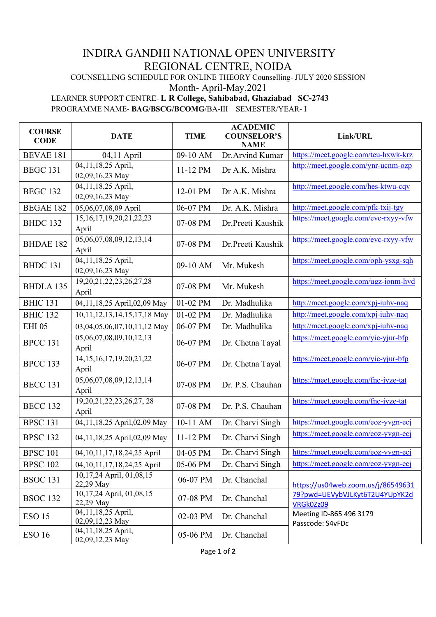## INDIRA GANDHI NATIONAL OPEN UNIVERSITY REGIONAL CENTRE, NOIDA

COUNSELLING SCHEDULE FOR ONLINE THEORY Counselling- JULY 2020 SESSION

## Month- April-May,2021

## LEARNER SUPPORT CENTRE- L R College, Sahibabad, Ghaziabad SC-2743

PROGRAMME NAME- BAG/BSCG/BCOMG/BA-III SEMESTER/YEAR- I

| <b>COURSE</b><br><b>CODE</b> | <b>DATE</b>                             | <b>TIME</b> | <b>ACADEMIC</b><br><b>COUNSELOR'S</b><br><b>NAME</b> | Link/URL                                    |
|------------------------------|-----------------------------------------|-------------|------------------------------------------------------|---------------------------------------------|
| <b>BEVAE 181</b>             | $04,11$ April                           | 09-10 AM    | Dr.Arvind Kumar                                      | https://meet.google.com/teu-hxwk-krz        |
| <b>BEGC 131</b>              | 04,11,18,25 April,<br>02,09,16,23 May   | 11-12 PM    | Dr A.K. Mishra                                       | http://meet.google.com/ynr-ucnm-ozp         |
| <b>BEGC 132</b>              | 04,11,18,25 April,<br>02,09,16,23 May   | 12-01 PM    | Dr A.K. Mishra                                       | http://meet.google.com/hes-ktwu-cqv         |
| <b>BEGAE 182</b>             | 05,06,07,08,09 April                    | 06-07 PM    | Dr. A.K. Mishra                                      | http://meet.google.com/pfk-txij-tgy         |
| <b>BHDC 132</b>              | 15, 16, 17, 19, 20, 21, 22, 23<br>April | 07-08 PM    | Dr.Preeti Kaushik                                    | https://meet.google.com/evc-rxyy-vfw        |
| <b>BHDAE 182</b>             | 05,06,07,08,09,12,13,14<br>April        | 07-08 PM    | Dr.Preeti Kaushik                                    | https://meet.google.com/evc-rxyy-vfw        |
| BHDC 131                     | 04,11,18,25 April,<br>02,09,16,23 May   | 09-10 AM    | Mr. Mukesh                                           | https://meet.google.com/oph-ysxg-sqh        |
| <b>BHDLA 135</b>             | 19, 20, 21, 22, 23, 26, 27, 28<br>April | 07-08 PM    | Mr. Mukesh                                           | https://meet.google.com/ugz-ionm-hvd        |
| <b>BHIC 131</b>              | 04,11,18,25 April,02,09 May             | 01-02 PM    | Dr. Madhulika                                        | http://meet.google.com/xpj-iuhv-naq         |
| <b>BHIC 132</b>              | 10,11,12,13,14,15,17,18 May             | 01-02 PM    | Dr. Madhulika                                        | http://meet.google.com/xpj-iuhv-naq         |
| <b>EHI 05</b>                | 03,04,05,06,07,10,11,12 May             | 06-07 PM    | Dr. Madhulika                                        | http://meet.google.com/xpj-iuhv-naq         |
| <b>BPCC 131</b>              | 05,06,07,08,09,10,12,13<br>April        | 06-07 PM    | Dr. Chetna Tayal                                     | https://meet.google.com/yic-yjur-bfp        |
| <b>BPCC 133</b>              | 14, 15, 16, 17, 19, 20, 21, 22<br>April | 06-07 PM    | Dr. Chetna Tayal                                     | https://meet.google.com/yic-yjur-bfp        |
| <b>BECC 131</b>              | 05,06,07,08,09,12,13,14<br>April        | 07-08 PM    | Dr. P.S. Chauhan                                     | https://meet.google.com/fnc-iyze-tat        |
| <b>BECC 132</b>              | 19, 20, 21, 22, 23, 26, 27, 28<br>April | 07-08 PM    | Dr. P.S. Chauhan                                     | https://meet.google.com/fnc-iyze-tat        |
| <b>BPSC 131</b>              | 04,11,18,25 April,02,09 May             | 10-11 AM    | Dr. Charvi Singh                                     | https://meet.google.com/eoz-yvgn-ecj        |
| <b>BPSC 132</b>              | 04,11,18,25 April,02,09 May             | 11-12 PM    | Dr. Charvi Singh                                     | https://meet.google.com/eoz-yvgn-ecj        |
| <b>BPSC 101</b>              | 04, 10, 11, 17, 18, 24, 25 April        | 04-05 PM    | Dr. Charvi Singh                                     | https://meet.google.com/eoz-yvgn-ecj        |
| <b>BPSC 102</b>              | 04, 10, 11, 17, 18, 24, 25 April        | 05-06 PM    | Dr. Charvi Singh                                     | https://meet.google.com/eoz-yvgn-ecj        |
| <b>BSOC 131</b>              | 10,17,24 April, 01,08,15<br>22,29 May   | 06-07 PM    | Dr. Chanchal                                         | https://us04web.zoom.us/j/86549631          |
| <b>BSOC 132</b>              | 10,17,24 April, 01,08,15<br>22,29 May   | 07-08 PM    | Dr. Chanchal                                         | 79?pwd=UEVybVJLKyt6T2U4YUpYK2d<br>VRGk0Zz09 |
| <b>ESO 15</b>                | 04,11,18,25 April,<br>02,09,12,23 May   | 02-03 PM    | Dr. Chanchal                                         | Meeting ID-865 496 3179<br>Passcode: S4vFDc |
| <b>ESO 16</b>                | 04,11,18,25 April,<br>02,09,12,23 May   | 05-06 PM    | Dr. Chanchal                                         |                                             |